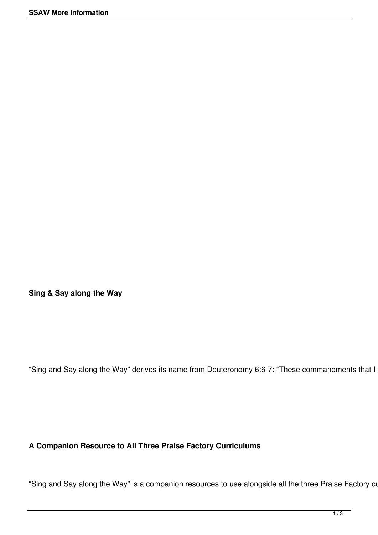**Sing & Say along the Way**

"Sing and Say along the Way" derives its name from Deuteronomy 6:6-7: "These commandments that I

# **A Companion Resource to All Three Praise Factory Curriculums**

"Sing and Say along the Way" is a companion resources to use alongside all the three Praise Factory cu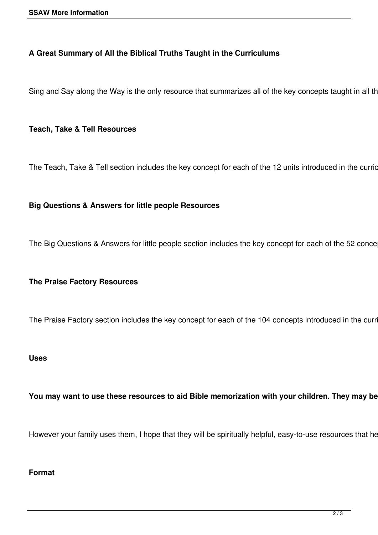## **A Great Summary of All the Biblical Truths Taught in the Curriculums**

Sing and Say along the Way is the only resource that summarizes all of the key concepts taught in all th

## **Teach, Take & Tell Resources**

The Teach, Take & Tell section includes the key concept for each of the 12 units introduced in the curric

### **Big Questions & Answers for little people Resources**

The Big Questions & Answers for little people section includes the key concept for each of the 52 conce

### **The Praise Factory Resources**

The Praise Factory section includes the key concept for each of the 104 concepts introduced in the curr

#### **Uses**

You may want to use these resources to aid Bible memorization with your children. They may be

However your family uses them, I hope that they will be spiritually helpful, easy-to-use resources that he

#### **Format**